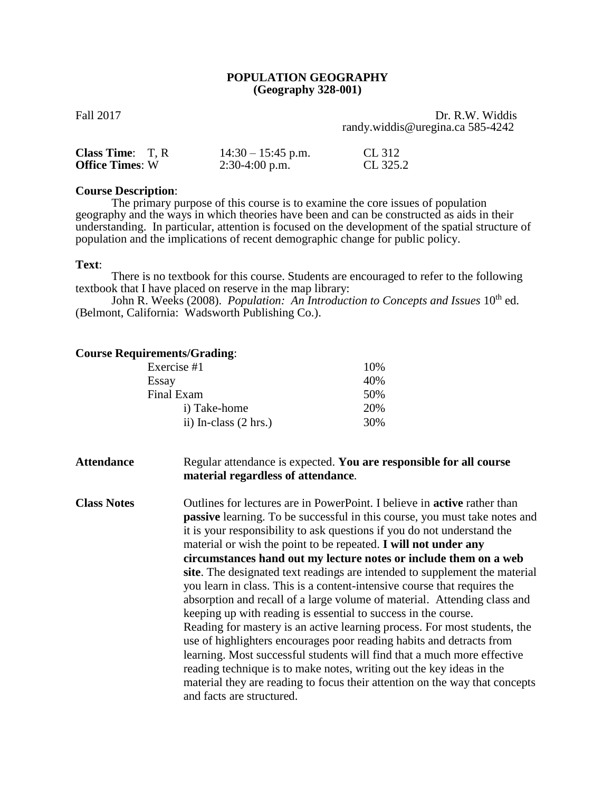## **POPULATION GEOGRAPHY (Geography 328-001)**

Fall 2017 Dr. R.W. Widdis randy.widdis@uregina.ca 585-4242

| <b>Class Time:</b> $T, R$ | $14:30 - 15:45$ p.m. | CL 312   |
|---------------------------|----------------------|----------|
| <b>Office Times: W</b>    | $2:30-4:00$ p.m.     | CL 325.2 |

### **Course Description**:

The primary purpose of this course is to examine the core issues of population geography and the ways in which theories have been and can be constructed as aids in their understanding. In particular, attention is focused on the development of the spatial structure of population and the implications of recent demographic change for public policy.

#### **Text**:

There is no textbook for this course. Students are encouraged to refer to the following textbook that I have placed on reserve in the map library:

John R. Weeks (2008). *Population: An Introduction to Concepts and Issues* 10<sup>th</sup> ed. (Belmont, California: Wadsworth Publishing Co.).

## **Course Requirements/Grading**:

| Exercise #1                     | 10% |
|---------------------------------|-----|
| Essay                           | 40% |
| Final Exam                      | 50% |
| i) Take-home                    | 20% |
| ii) In-class $(2 \text{ hrs.})$ | 30% |
|                                 |     |

**Attendance** Regular attendance is expected. **You are responsible for all course material regardless of attendance***.*

**Class Notes** Outlines for lectures are in PowerPoint. I believe in **active** rather than **passive** learning. To be successful in this course, you must take notes and it is your responsibility to ask questions if you do not understand the material or wish the point to be repeated. **I will not under any circumstances hand out my lecture notes or include them on a web site**. The designated text readings are intended to supplement the material you learn in class. This is a content-intensive course that requires the absorption and recall of a large volume of material. Attending class and keeping up with reading is essential to success in the course. Reading for mastery is an active learning process. For most students, the use of highlighters encourages poor reading habits and detracts from learning. Most successful students will find that a much more effective reading technique is to make notes, writing out the key ideas in the material they are reading to focus their attention on the way that concepts and facts are structured.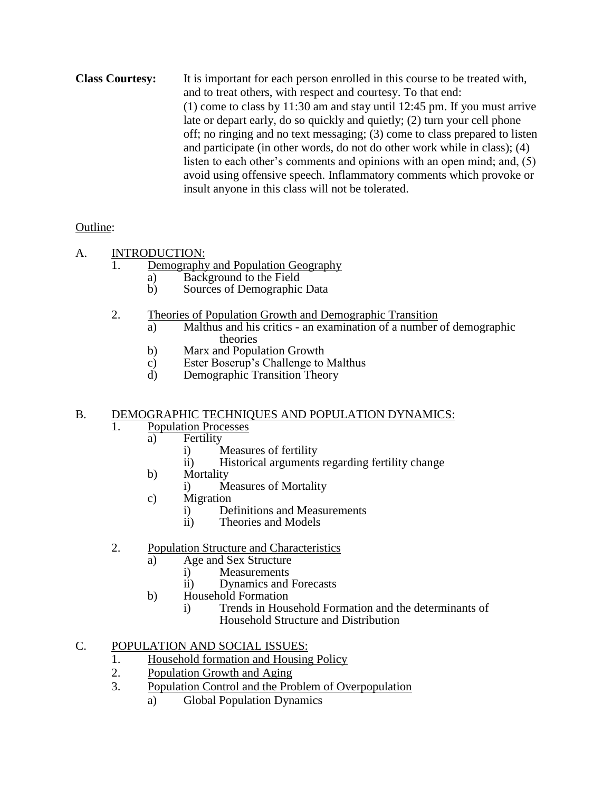**Class Courtesy:** It is important for each person enrolled in this course to be treated with, and to treat others, with respect and courtesy. To that end: (1) come to class by 11:30 am and stay until 12:45 pm. If you must arrive late or depart early, do so quickly and quietly; (2) turn your cell phone off; no ringing and no text messaging; (3) come to class prepared to listen and participate (in other words, do not do other work while in class); (4) listen to each other's comments and opinions with an open mind; and, (5) avoid using offensive speech. Inflammatory comments which provoke or insult anyone in this class will not be tolerated.

# Outline:

- A. INTRODUCTION:
	- 1. Demography and Population Geography
		- a) Background to the Field
		- b) Sources of Demographic Data
	- 2. Theories of Population Growth and Demographic Transition
		- a) Malthus and his critics an examination of a number of demographic theories
		- b) Marx and Population Growth
		- c) Ester Boserup's Challenge to Malthus
		- d) Demographic Transition Theory

# B. DEMOGRAPHIC TECHNIQUES AND POPULATION DYNAMICS:

- 1. Population Processes
	- a) Fertility
		- i) Measures of fertility
		- ii) Historical arguments regarding fertility change
	- b) Mortality
		- i) Measures of Mortality
	- c) Migration
		- i) Definitions and Measurements<br>ii) Theories and Models
		- Theories and Models
- 2. Population Structure and Characteristics
	- a) Age and Sex Structure<br>i) Measurements
		- **Measurements** 
			- ii) Dynamics and Forecasts
	- b) Household Formation
		- i) Trends in Household Formation and the determinants of Household Structure and Distribution

# C. POPULATION AND SOCIAL ISSUES:

- 1. Household formation and Housing Policy
- 2. Population Growth and Aging
- 3. Population Control and the Problem of Overpopulation
	- a) Global Population Dynamics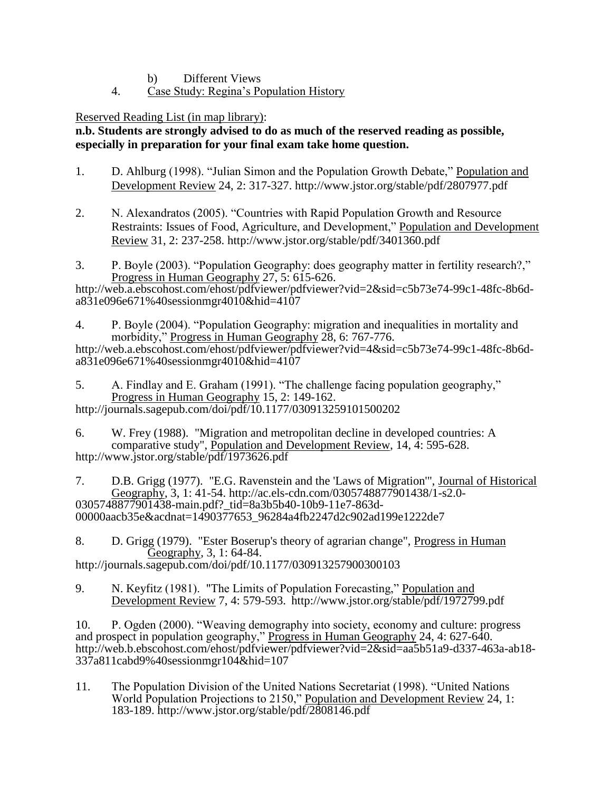- b) Different Views
- 4. Case Study: Regina's Population History

Reserved Reading List (in map library):

# **n.b. Students are strongly advised to do as much of the reserved reading as possible, especially in preparation for your final exam take home question.**

- 1. D. Ahlburg (1998). "Julian Simon and the Population Growth Debate," Population and Development Review 24, 2: 317-327. http://www.jstor.org/stable/pdf/2807977.pdf
- 2. N. Alexandratos (2005). "Countries with Rapid Population Growth and Resource Restraints: Issues of Food, Agriculture, and Development," Population and Development Review 31, 2: 237-258. http://www.jstor.org/stable/pdf/3401360.pdf
- 3. P. Boyle (2003). "Population Geography: does geography matter in fertility research?," Progress in Human Geography 27, 5: 615-626.

http://web.a.ebscohost.com/ehost/pdfviewer/pdfviewer?vid=2&sid=c5b73e74-99c1-48fc-8b6da831e096e671%40sessionmgr4010&hid=4107

4. P. Boyle (2004). "Population Geography: migration and inequalities in mortality and morbidity," Progress in Human Geography 28, 6: 767-776.

http://web.a.ebscohost.com/ehost/pdfviewer/pdfviewer?vid=4&sid=c5b73e74-99c1-48fc-8b6da831e096e671%40sessionmgr4010&hid=4107

- 5. A. Findlay and E. Graham (1991). "The challenge facing population geography," Progress in Human Geography 15, 2: 149-162. http://journals.sagepub.com/doi/pdf/10.1177/030913259101500202
- 6. W. Frey (1988). "Migration and metropolitan decline in developed countries: A comparative study", Population and Development Review, 14, 4: 595-628. http://www.jstor.org/stable/pdf/1973626.pdf
- 7. D.B. Grigg (1977). "E.G. Ravenstein and the 'Laws of Migration'", Journal of Historical Geography, 3, 1: 41-54. http://ac.els-cdn.com/0305748877901438/1-s2.0- 0305748877901438-main.pdf?\_tid=8a3b5b40-10b9-11e7-863d-00000aacb35e&acdnat=1490377653\_96284a4fb2247d2c902ad199e1222de7

8. D. Grigg (1979). "Ester Boserup's theory of agrarian change", Progress in Human Geography, 3, 1: 64-84. http://journals.sagepub.com/doi/pdf/10.1177/030913257900300103

9. N. Keyfitz (1981). "The Limits of Population Forecasting," Population and Development Review 7, 4: 579-593. http://www.jstor.org/stable/pdf/1972799.pdf

10. P. Ogden (2000). "Weaving demography into society, economy and culture: progress and prospect in population geography," Progress in Human Geography 24, 4: 627-640. http://web.b.ebscohost.com/ehost/pdfviewer/pdfviewer?vid=2&sid=aa5b51a9-d337-463a-ab18- 337a811cabd9%40sessionmgr104&hid=107

11. The Population Division of the United Nations Secretariat (1998). "United Nations World Population Projections to 2150," Population and Development Review 24, 1: 183-189. http://www.jstor.org/stable/pdf/2808146.pdf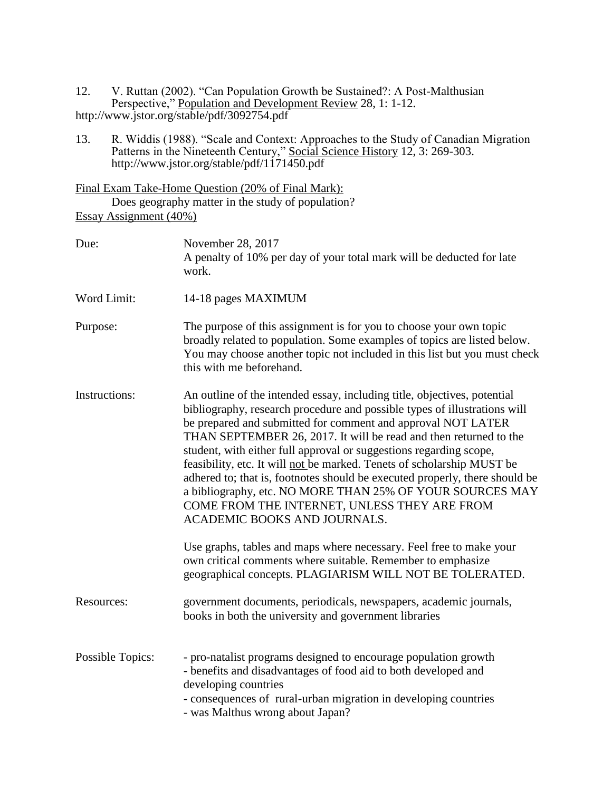12. V. Ruttan (2002). "Can Population Growth be Sustained?: A Post-Malthusian Perspective," Population and Development Review 28, 1: 1-12. http://www.jstor.org/stable/pdf/3092754.pdf

13. R. Widdis (1988). "Scale and Context: Approaches to the Study of Canadian Migration Patterns in the Nineteenth Century," Social Science History 12, 3: 269-303. http://www.jstor.org/stable/pdf/1171450.pdf

Final Exam Take-Home Question (20% of Final Mark): Does geography matter in the study of population? Essay Assignment (40%)

| Due:                    | November 28, 2017<br>A penalty of 10% per day of your total mark will be deducted for late<br>work.                                                                                                                                                                                                                                                                                                                                                                                                                                                                                                                                                                    |
|-------------------------|------------------------------------------------------------------------------------------------------------------------------------------------------------------------------------------------------------------------------------------------------------------------------------------------------------------------------------------------------------------------------------------------------------------------------------------------------------------------------------------------------------------------------------------------------------------------------------------------------------------------------------------------------------------------|
| Word Limit:             | 14-18 pages MAXIMUM                                                                                                                                                                                                                                                                                                                                                                                                                                                                                                                                                                                                                                                    |
| Purpose:                | The purpose of this assignment is for you to choose your own topic<br>broadly related to population. Some examples of topics are listed below.<br>You may choose another topic not included in this list but you must check<br>this with me beforehand.                                                                                                                                                                                                                                                                                                                                                                                                                |
| Instructions:           | An outline of the intended essay, including title, objectives, potential<br>bibliography, research procedure and possible types of illustrations will<br>be prepared and submitted for comment and approval NOT LATER<br>THAN SEPTEMBER 26, 2017. It will be read and then returned to the<br>student, with either full approval or suggestions regarding scope,<br>feasibility, etc. It will not be marked. Tenets of scholarship MUST be<br>adhered to; that is, footnotes should be executed properly, there should be<br>a bibliography, etc. NO MORE THAN 25% OF YOUR SOURCES MAY<br>COME FROM THE INTERNET, UNLESS THEY ARE FROM<br>ACADEMIC BOOKS AND JOURNALS. |
|                         | Use graphs, tables and maps where necessary. Feel free to make your<br>own critical comments where suitable. Remember to emphasize<br>geographical concepts. PLAGIARISM WILL NOT BE TOLERATED.                                                                                                                                                                                                                                                                                                                                                                                                                                                                         |
| Resources:              | government documents, periodicals, newspapers, academic journals,<br>books in both the university and government libraries                                                                                                                                                                                                                                                                                                                                                                                                                                                                                                                                             |
| <b>Possible Topics:</b> | - pro-natalist programs designed to encourage population growth<br>- benefits and disadvantages of food aid to both developed and<br>developing countries<br>- consequences of rural-urban migration in developing countries<br>- was Malthus wrong about Japan?                                                                                                                                                                                                                                                                                                                                                                                                       |